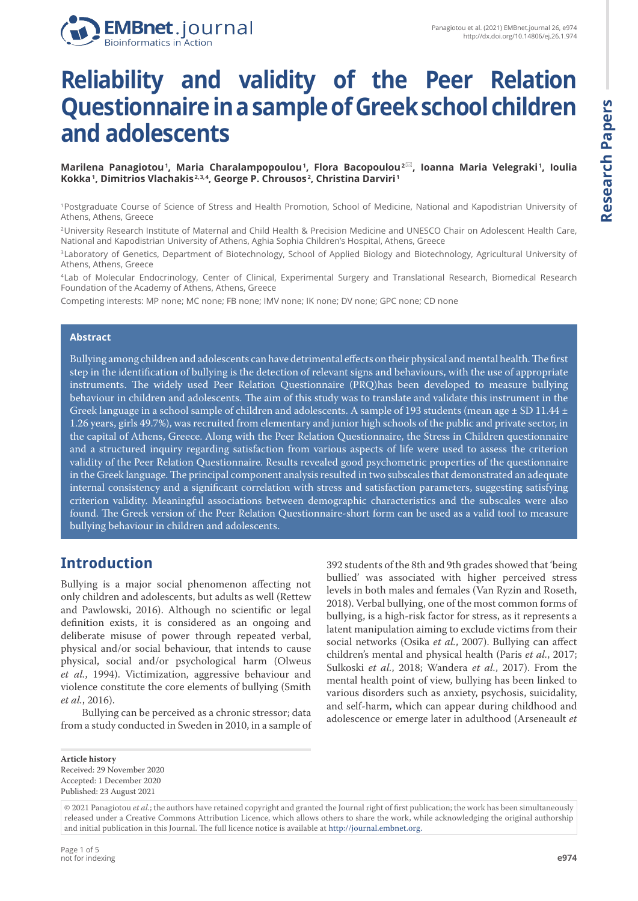

# **Reliability and validity of the Peer Relation Questionnaire in a sample of Greek school children and adolescents**

**Marilena Panagiotou <sup>1</sup> , Maria Charalampopoulou <sup>1</sup> , Flora Bacopoulou 2 , Ioanna Maria Velegraki <sup>1</sup> , Ioulia Kokka <sup>1</sup> , Dimitrios Vlachakis 2, 3, 4, George P. Chrousos <sup>2</sup> , Christina Darviri <sup>1</sup>**

<sup>1</sup>Postgraduate Course of Science of Stress and Health Promotion, School of Medicine, National and Kapodistrian University of Athens, Athens, Greece

<sup>2</sup>University Research Institute of Maternal and Child Health & Precision Medicine and UNESCO Chair on Adolescent Health Care, National and Kapodistrian University of Athens, Aghia Sophia Children's Hospital, Athens, Greece

<sup>3</sup>Laboratory of Genetics, Department of Biotechnology, School of Applied Biology and Biotechnology, Agricultural University of Athens, Athens, Greece

<sup>4</sup>Lab of Molecular Endocrinology, Center of Clinical, Experimental Surgery and Translational Research, Biomedical Research Foundation of the Academy of Athens, Athens, Greece

Competing interests: MP none; MC none; FB none; IMV none; IK none; DV none; GPC none; CD none

#### **Abstract**

Bullying among children and adolescents can have detrimental effects on their physical and mental health. The first step in the identification of bullying is the detection of relevant signs and behaviours, with the use of appropriate instruments. The widely used Peer Relation Questionnaire (PRQ)has been developed to measure bullying behaviour in children and adolescents. The aim of this study was to translate and validate this instrument in the Greek language in a school sample of children and adolescents. A sample of 193 students (mean age  $\pm$  SD 11.44  $\pm$ 1.26 years, girls 49.7%), was recruited from elementary and junior high schools of the public and private sector, in the capital of Athens, Greece. Along with the Peer Relation Questionnaire, the Stress in Children questionnaire and a structured inquiry regarding satisfaction from various aspects of life were used to assess the criterion validity of the Peer Relation Questionnaire. Results revealed good psychometric properties of the questionnaire in the Greek language. The principal component analysis resulted in two subscales that demonstrated an adequate internal consistency and a significant correlation with stress and satisfaction parameters, suggesting satisfying criterion validity. Meaningful associations between demographic characteristics and the subscales were also found. The Greek version of the Peer Relation Questionnaire-short form can be used as a valid tool to measure bullying behaviour in children and adolescents.

## **Introduction**

Bullying is a major social phenomenon affecting not only children and adolescents, but adults as well (Rettew and Pawlowski, 2016). Although no scientific or legal definition exists, it is considered as an ongoing and deliberate misuse of power through repeated verbal, physical and/or social behaviour, that intends to cause physical, social and/or psychological harm (Olweus *et al.*, 1994). Victimization, aggressive behaviour and violence constitute the core elements of bullying (Smith *et al.*, 2016).

Bullying can be perceived as a chronic stressor; data from a study conducted in Sweden in 2010, in a sample of 392 students of the 8th and 9th grades showed that 'being bullied' was associated with higher perceived stress levels in both males and females (Van Ryzin and Roseth, 2018). Verbal bullying, one of the most common forms of bullying, is a high-risk factor for stress, as it represents a latent manipulation aiming to exclude victims from their social networks (Osika *et al.*, 2007). Bullying can affect children's mental and physical health (Paris *et al.*, 2017; Sulkoski *et al.*, 2018; Wandera *et al.*, 2017). From the mental health point of view, bullying has been linked to various disorders such as anxiety, psychosis, suicidality, and self-harm, which can appear during childhood and adolescence or emerge later in adulthood (Arseneault *et* 

**Article history** Received: 29 November 2020 Accepted: 1 December 2020 Published: 23 August 2021

<sup>© 2021</sup> Panagiotou *et al.*; the authors have retained copyright and granted the Journal right of first publication; the work has been simultaneously released under a Creative Commons Attribution Licence, which allows others to share the work, while acknowledging the original authorship and initial publication in this Journal. The full licence notice is available at http://journal.embnet.org.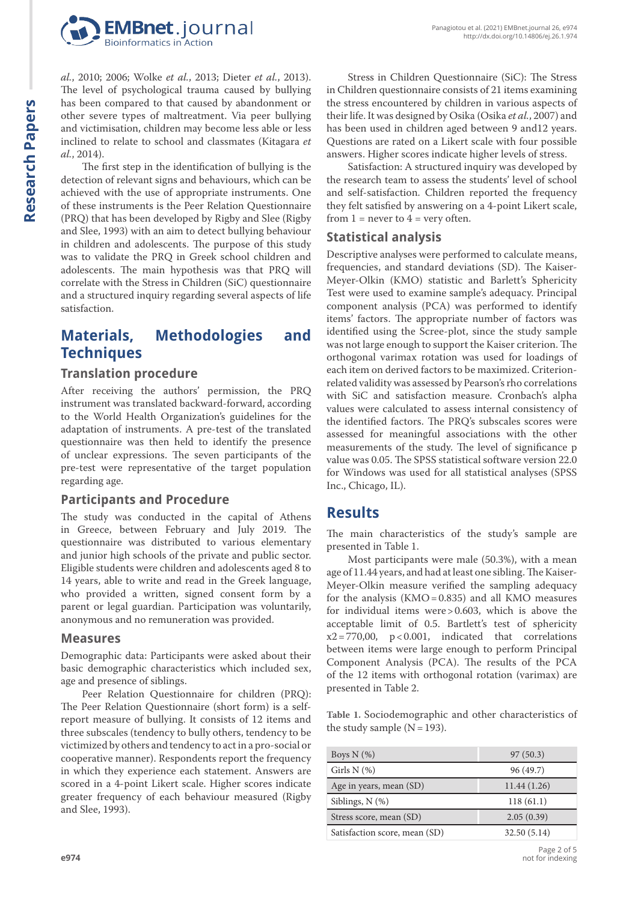

*al.*, 2010; 2006; Wolke *et al.*, 2013; Dieter *et al.*, 2013). The level of psychological trauma caused by bullying has been compared to that caused by abandonment or other severe types of maltreatment. Via peer bullying and victimisation, children may become less able or less inclined to relate to school and classmates (Kitagara *et al.*, 2014).

The first step in the identification of bullying is the detection of relevant signs and behaviours, which can be achieved with the use of appropriate instruments. One of these instruments is the Peer Relation Questionnaire (PRQ) that has been developed by Rigby and Slee (Rigby and Slee, 1993) with an aim to detect bullying behaviour in children and adolescents. The purpose of this study was to validate the PRQ in Greek school children and adolescents. The main hypothesis was that PRQ will correlate with the Stress in Children (SiC) questionnaire and a structured inquiry regarding several aspects of life satisfaction.

## **Materials, Methodologies and Techniques**

#### **Translation procedure**

After receiving the authors' permission, the PRQ instrument was translated backward-forward, according to the World Health Organization's guidelines for the adaptation of instruments. A pre-test of the translated questionnaire was then held to identify the presence of unclear expressions. The seven participants of the pre-test were representative of the target population regarding age.

### **Participants and Procedure**

The study was conducted in the capital of Athens in Greece, between February and July 2019. The questionnaire was distributed to various elementary and junior high schools of the private and public sector. Eligible students were children and adolescents aged 8 to 14 years, able to write and read in the Greek language, who provided a written, signed consent form by a parent or legal guardian. Participation was voluntarily, anonymous and no remuneration was provided.

#### **Measures**

Demographic data: Participants were asked about their basic demographic characteristics which included sex, age and presence of siblings.

Peer Relation Questionnaire for children (PRQ): The Peer Relation Questionnaire (short form) is a selfreport measure of bullying. It consists of 12 items and three subscales (tendency to bully others, tendency to be victimized by others and tendency to act in a pro-social or cooperative manner). Respondents report the frequency in which they experience each statement. Answers are scored in a 4-point Likert scale. Higher scores indicate greater frequency of each behaviour measured (Rigby and Slee, 1993).

Stress in Children Questionnaire (SiC): The Stress in Children questionnaire consists of 21 items examining the stress encountered by children in various aspects of their life. It was designed by Osika (Osika *et al.*, 2007) and has been used in children aged between 9 and12 years. Questions are rated on a Likert scale with four possible answers. Higher scores indicate higher levels of stress.

Satisfaction: A structured inquiry was developed by the research team to assess the students' level of school and self-satisfaction. Children reported the frequency they felt satisfied by answering on a 4-point Likert scale, from  $1 =$  never to  $4 =$  very often.

### **Statistical analysis**

Descriptive analyses were performed to calculate means, frequencies, and standard deviations (SD). The Kaiser-Meyer-Olkin (KMO) statistic and Barlett's Sphericity Test were used to examine sample's adequacy. Principal component analysis (PCA) was performed to identify items' factors. The appropriate number of factors was identified using the Scree-plot, since the study sample was not large enough to support the Kaiser criterion. The orthogonal varimax rotation was used for loadings of each item on derived factors to be maximized. Criterionrelated validity was assessed by Pearson's rho correlations with SiC and satisfaction measure. Cronbach's alpha values were calculated to assess internal consistency of the identified factors. The PRQ's subscales scores were assessed for meaningful associations with the other measurements of the study. The level of significance p value was 0.05. The SPSS statistical software version 22.0 for Windows was used for all statistical analyses (SPSS Inc., Chicago, IL).

## **Results**

The main characteristics of the study's sample are presented in Table 1.

Most participants were male (50.3%), with a mean age of 11.44 years, and had at least one sibling. The Kaiser-Meyer-Olkin measure verified the sampling adequacy for the analysis (KMO=0.835) and all KMO measures for individual items were>0.603, which is above the acceptable limit of 0.5. Bartlett's test of sphericity  $x2 = 770,00$ ,  $p < 0.001$ , indicated that correlations between items were large enough to perform Principal Component Analysis (PCA). The results of the PCA of the 12 items with orthogonal rotation (varimax) are presented in Table 2.

**Table 1.** Sociodemographic and other characteristics of the study sample  $(N=193)$ .

| Boys $N$ $(\%)$               | 97(50.3)    |  |  |
|-------------------------------|-------------|--|--|
| Girls $N$ (%)                 | 96 (49.7)   |  |  |
| Age in years, mean (SD)       | 11.44(1.26) |  |  |
| Siblings, $N$ $(\%)$          | 118(61.1)   |  |  |
| Stress score, mean (SD)       | 2.05(0.39)  |  |  |
| Satisfaction score, mean (SD) | 32.50(5.14) |  |  |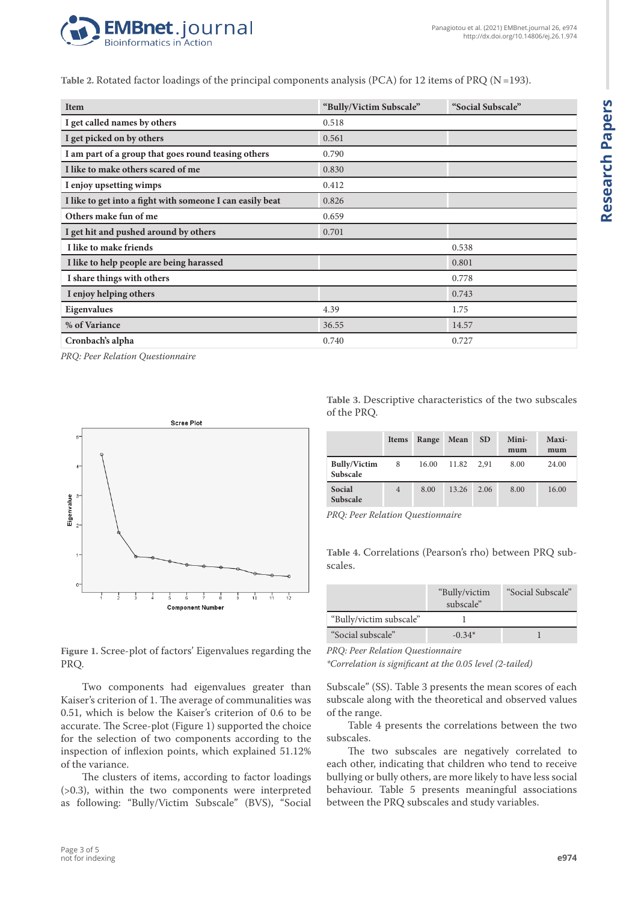

**Table 2.** Rotated factor loadings of the principal components analysis (PCA) for 12 items of PRQ (N=193).

| <b>Item</b>                                               | "Bully/Victim Subscale" | "Social Subscale" |
|-----------------------------------------------------------|-------------------------|-------------------|
| I get called names by others                              | 0.518                   |                   |
| I get picked on by others                                 | 0.561                   |                   |
| I am part of a group that goes round teasing others       | 0.790                   |                   |
| I like to make others scared of me                        | 0.830                   |                   |
| I enjoy upsetting wimps                                   | 0.412                   |                   |
| I like to get into a fight with someone I can easily beat | 0.826                   |                   |
| Others make fun of me                                     | 0.659                   |                   |
| I get hit and pushed around by others                     | 0.701                   |                   |
| I like to make friends                                    |                         | 0.538             |
| I like to help people are being harassed                  |                         | 0.801             |
| I share things with others                                |                         | 0.778             |
| I enjoy helping others                                    |                         | 0.743             |
| Eigenvalues                                               | 4.39                    | 1.75              |
| % of Variance                                             | 36.55                   | 14.57             |
| Cronbach's alpha                                          | 0.740                   | 0.727             |

*PRQ: Peer Relation Questionnaire*



**Table 3.** Descriptive characteristics of the two subscales of the PRQ.

|                                 | <b>Items</b>   | Range | Mean  | <b>SD</b> | Mini-<br>mum | Maxi-<br>mum |
|---------------------------------|----------------|-------|-------|-----------|--------------|--------------|
| <b>Bully/Victim</b><br>Subscale | 8              | 16.00 | 11.82 | 2.91      | 8.00         | 24.00        |
| Social<br><b>Subscale</b>       | $\overline{4}$ | 8.00  | 13.26 | 2.06      | 8.00         | 16.00        |

*PRQ: Peer Relation Questionnaire*

**Table 4.** Correlations (Pearson's rho) between PRQ subscales.

|                         | "Bully/victim"<br>subscale" | "Social Subscale" |
|-------------------------|-----------------------------|-------------------|
| "Bully/victim subscale" |                             |                   |
| "Social subscale"       | $-0.34*$                    |                   |

**Figure 1.** Scree-plot of factors' Eigenvalues regarding the PRQ.

Two components had eigenvalues greater than Kaiser's criterion of 1. The average of communalities was 0.51, which is below the Kaiser's criterion of 0.6 to be accurate. The Scree-plot (Figure 1) supported the choice for the selection of two components according to the inspection of inflexion points, which explained 51.12% of the variance.

The clusters of items, according to factor loadings (>0.3), within the two components were interpreted as following: "Bully/Victim Subscale" (BVS), "Social *PRQ: Peer Relation Questionnaire*

*\*Correlation is significant at the 0.05 level (2-tailed)*

Subscale" (SS). Table 3 presents the mean scores of each subscale along with the theoretical and observed values of the range.

Table 4 presents the correlations between the two subscales.

The two subscales are negatively correlated to each other, indicating that children who tend to receive bullying or bully others, are more likely to have less social behaviour. Table 5 presents meaningful associations between the PRQ subscales and study variables.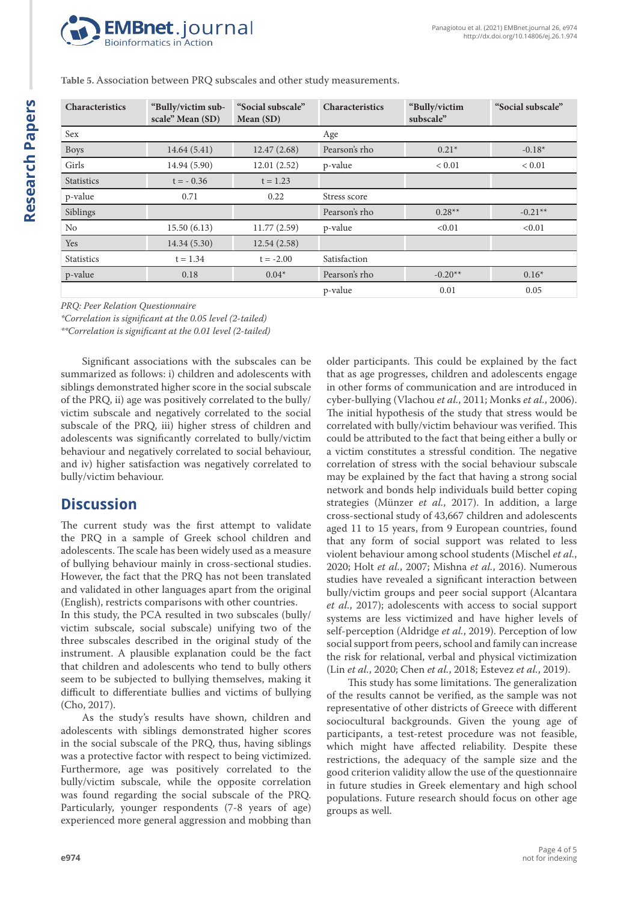

| Characteristics   | "Bully/victim sub-<br>scale" Mean (SD) | "Social subscale"<br>Mean (SD) | Characteristics | "Bully/victim<br>subscale" | "Social subscale" |
|-------------------|----------------------------------------|--------------------------------|-----------------|----------------------------|-------------------|
| Sex               |                                        |                                | Age             |                            |                   |
| <b>Boys</b>       | 14.64(5.41)                            | 12.47(2.68)                    | Pearson's rho   | $0.21*$                    | $-0.18*$          |
| Girls             | 14.94 (5.90)                           | 12.01(2.52)                    | p-value         | ${}< 0.01$                 | ${}< 0.01$        |
| <b>Statistics</b> | $t = -0.36$                            | $t = 1.23$                     |                 |                            |                   |
| p-value           | 0.71                                   | 0.22                           | Stress score    |                            |                   |
| Siblings          |                                        |                                | Pearson's rho   | $0.28**$                   | $-0.21**$         |
| No                | 15.50(6.13)                            | 11.77(2.59)                    | p-value         | < 0.01                     | < 0.01            |
| Yes               | 14.34 (5.30)                           | 12.54(2.58)                    |                 |                            |                   |
| <b>Statistics</b> | $t = 1.34$                             | $t = -2.00$                    | Satisfaction    |                            |                   |
| p-value           | 0.18                                   | $0.04*$                        | Pearson's rho   | $-0.20**$                  | $0.16*$           |
|                   |                                        |                                | p-value         | 0.01                       | 0.05              |

**Table 5.** Association between PRQ subscales and other study measurements.

*PRQ: Peer Relation Questionnaire*

*\*Correlation is significant at the 0.05 level (2-tailed)*

*\*\*Correlation is significant at the 0.01 level (2-tailed)*

Significant associations with the subscales can be summarized as follows: i) children and adolescents with siblings demonstrated higher score in the social subscale of the PRQ, ii) age was positively correlated to the bully/ victim subscale and negatively correlated to the social subscale of the PRQ, iii) higher stress of children and adolescents was significantly correlated to bully/victim behaviour and negatively correlated to social behaviour, and iv) higher satisfaction was negatively correlated to bully/victim behaviour.

## **Discussion**

The current study was the first attempt to validate the PRQ in a sample of Greek school children and adolescents. The scale has been widely used as a measure of bullying behaviour mainly in cross-sectional studies. However, the fact that the PRQ has not been translated and validated in other languages apart from the original (English), restricts comparisons with other countries.

In this study, the PCA resulted in two subscales (bully/ victim subscale, social subscale) unifying two of the three subscales described in the original study of the instrument. A plausible explanation could be the fact that children and adolescents who tend to bully others seem to be subjected to bullying themselves, making it difficult to differentiate bullies and victims of bullying (Cho, 2017).

As the study's results have shown, children and adolescents with siblings demonstrated higher scores in the social subscale of the PRQ, thus, having siblings was a protective factor with respect to being victimized. Furthermore, age was positively correlated to the bully/victim subscale, while the opposite correlation was found regarding the social subscale of the PRQ. Particularly, younger respondents (7-8 years of age) experienced more general aggression and mobbing than older participants. This could be explained by the fact that as age progresses, children and adolescents engage in other forms of communication and are introduced in cyber-bullying (Vlachou *et al.*, 2011; Monks *et al.*, 2006). The initial hypothesis of the study that stress would be correlated with bully/victim behaviour was verified. This could be attributed to the fact that being either a bully or a victim constitutes a stressful condition. The negative correlation of stress with the social behaviour subscale may be explained by the fact that having a strong social network and bonds help individuals build better coping strategies (Münzer *et al.*, 2017). In addition, a large cross-sectional study of 43,667 children and adolescents aged 11 to 15 years, from 9 European countries, found that any form of social support was related to less violent behaviour among school students (Mischel *et al.*, 2020; Holt *et al.*, 2007; Mishna *et al.*, 2016). Numerous studies have revealed a significant interaction between bully/victim groups and peer social support (Alcantara *et al.*, 2017); adolescents with access to social support systems are less victimized and have higher levels of self-perception (Aldridge *et al.*, 2019). Perception of low social support from peers, school and family can increase the risk for relational, verbal and physical victimization (Lin *et al.*, 2020; Chen *et al.*, 2018; Estevez *et al.*, 2019).

This study has some limitations. The generalization of the results cannot be verified, as the sample was not representative of other districts of Greece with different sociocultural backgrounds. Given the young age of participants, a test-retest procedure was not feasible, which might have affected reliability. Despite these restrictions, the adequacy of the sample size and the good criterion validity allow the use of the questionnaire in future studies in Greek elementary and high school populations. Future research should focus on other age groups as well.